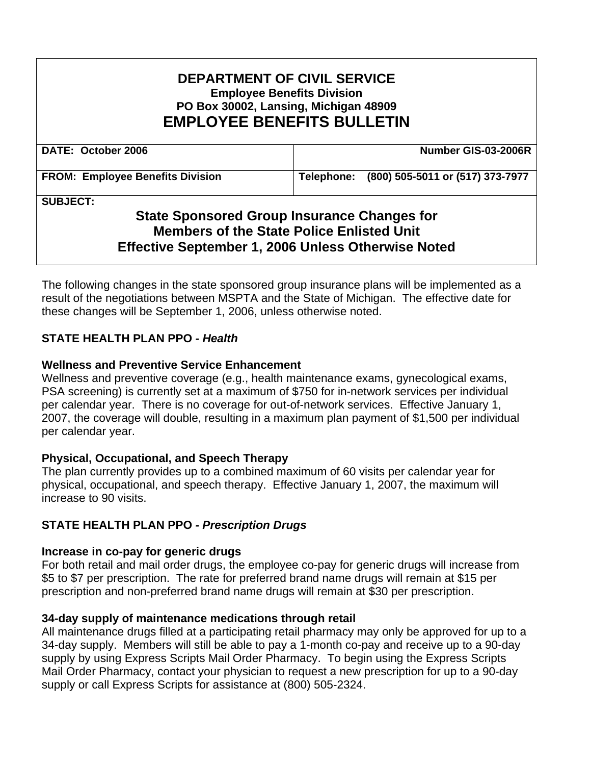# **DEPARTMENT OF CIVIL SERVICE Employee Benefits Division PO Box 30002, Lansing, Michigan 48909 EMPLOYEE BENEFITS BULLETIN**

| DATE: October 2006                      | Number GIS-03-2006R                         |
|-----------------------------------------|---------------------------------------------|
| <b>FROM: Employee Benefits Division</b> | Telephone: (800) 505-5011 or (517) 373-7977 |

**SUBJECT:** 

# **State Sponsored Group Insurance Changes for Members of the State Police Enlisted Unit Effective September 1, 2006 Unless Otherwise Noted**

The following changes in the state sponsored group insurance plans will be implemented as a result of the negotiations between MSPTA and the State of Michigan. The effective date for these changes will be September 1, 2006, unless otherwise noted.

## **STATE HEALTH PLAN PPO** *- Health*

## **Wellness and Preventive Service Enhancement**

Wellness and preventive coverage (e.g., health maintenance exams, gynecological exams, PSA screening) is currently set at a maximum of \$750 for in-network services per individual per calendar year. There is no coverage for out-of-network services. Effective January 1, 2007, the coverage will double, resulting in a maximum plan payment of \$1,500 per individual per calendar year.

## **Physical, Occupational, and Speech Therapy**

The plan currently provides up to a combined maximum of 60 visits per calendar year for physical, occupational, and speech therapy. Effective January 1, 2007, the maximum will increase to 90 visits.

## **STATE HEALTH PLAN PPO** *- Prescription Drugs*

#### **Increase in co-pay for generic drugs**

For both retail and mail order drugs, the employee co-pay for generic drugs will increase from \$5 to \$7 per prescription. The rate for preferred brand name drugs will remain at \$15 per prescription and non-preferred brand name drugs will remain at \$30 per prescription.

## **34-day supply of maintenance medications through retail**

All maintenance drugs filled at a participating retail pharmacy may only be approved for up to a 34-day supply. Members will still be able to pay a 1-month co-pay and receive up to a 90-day supply by using Express Scripts Mail Order Pharmacy. To begin using the Express Scripts Mail Order Pharmacy, contact your physician to request a new prescription for up to a 90-day supply or call Express Scripts for assistance at (800) 505-2324.